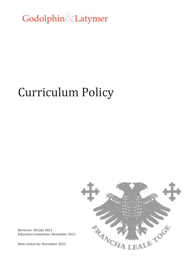Godolphin Latymer

# Curriculum Policy



Reviewer: SH July 2021 Education Committee: November 2021

Next review by: November 2022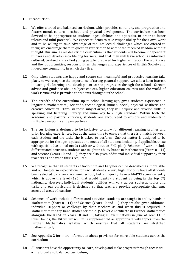# **1 Introduction**

- 1.1 We offer a broad and balanced curriculum, which provides continuity and progression and fosters moral, cultural, aesthetic and physical development. The curriculum has been devised to be appropriate to students' ages, abilities and aptitudes, in order to foster talents and fulfil potential. We expect students to take responsibility for their own work and to be willing to take advantage of the intellectual challenges which are offered to them; we encourage them to question rather than to accept the received wisdom without thought. Our aim, as we deliver the curriculum, is that students will become independent thinkers and develop into lifelong learners, and that they will leave school as informed, cultured, civilised and skilled young people, prepared for higher education, the workplace and the opportunities, responsibilities, challenges and experiences of British Society and indeed any community in which they live.
- 1.2 Only when students are happy and secure can meaningful and productive learning take place, so we recognise the importance of strong pastoral support; we take a keen interest in each girl's learning and development as she progresses through the school. Careers advice and guidance about subject choices, higher education courses and the world of work is vital and is provided to students throughout the school.
- 1.3 The breadth of the curriculum, up to school leaving age, gives students experience in linguistic, mathematical, scientific, technological, human, social, physical, aesthetic and creative education. Through these subject areas, they will acquire and develop skills in speaking and listening, literacy and numeracy to a high standard. Within both the academic and pastoral curricula, students are encouraged to explore and understand multiple viewpoints and perspectives.
- 1.4 The curriculum is designed to be inclusive, to allow for different learning profiles and prior learning experiences, but at the same time to ensure that there is a match between each student and the tasks she is asked to perform. Subject matter is designed to be appropriate for the ages, aptitudes and needs of all students, including, if applicable, those with special educational needs (with or without an EHC plan). Schemes of work include differentiated activities, students are taught in ability bands in Mathematics (Years  $8 - 11$ ) and Science (Years 10 and 11); they are also given additional individual support by their teachers as and when this is required.
- 1.5 We recognise that all students at Godolphin and Latymer can be described as 'more able' and our long-term expectations for each student are very high. Not only have all students been selected by a very academic school, but a majority have a MidYIS score on entry which is above the level (125) that would identify a student as being in the top 5% nationally. However, individual students' abilities will vary across subjects, topics and tasks and our curriculum is designed so that teachers provide appropriate challenge across all areas of learning.
- 1.6 Schemes of work include differentiated activities, students are taught in ability bands in Mathematics (Years  $8 - 11$ ) and Science (Years 10 and 11); they are also given additional individual support or challenge by their teachers as and when this is required. In Mathematics the top band studies for the AQA Level 2 Certificate in Further Mathematics alongside the IGCSE in Years 10 and 11, taking all examinations in June of Year 11. In lower bands, the IGCSE curriculum is supplemented as appropriate with topics from the Further Mathematics syllabus which ensures that all students are stretched mathematically.
- 1.7 See Appendix 2 for more information about provision for more able students across the curriculum.
- 1.8 All students have the opportunity to learn, develop and make progress through access to:
	- a broad and balanced curriculum;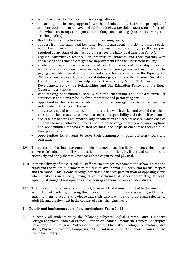- equitable access to all curriculum areas regardless of ability ;
- a teaching and learning approach which embodies at its heart the principles of enabling each student to have and fulfil the highest possible expectations of herself, and which encourages independent thinking and learning (see the Learning and Teaching Policy);
- flexibility of teaching to allow for different learning needs;
- support from the Individual Learning Needs Department in order to assess special educational needs or individual learning needs and offer any specific support required at any stage of their school career (see the Individual Learning Policy);
- regular, constructive feedback on progress to students and their parents with challenging and attainable targets for improvement (see the Assessment Policy);
- a coherent programme of personal, social, health, economic and citizenship education which reflects the school's aims and ethos and encourages respect for other people, paying particular regard to the protected characteristics set out in the Equality Act 2010 and any relevant legislation or statutory guidance (see the Personal, Social and Health Education and Citizenship Policy, the Spiritual, Moral, Social and Cultural Development Policy, the Relationships and Sex Education Policy and the Equal Opportunities Policy);
- wide-ranging opportunities, both within the curriculum and as extra-curricular activities, for students to be involved in creative and performing arts;
- opportunities for cross-curricular work to encourage teamwork as well as independent thinking and learning;
- a diverse range of extra-curricular opportunities which enrich and extend the school curriculum, help students to develop a sense of responsibility and raise self-esteem;
- accurate, up to date and impartial higher education and careers advice, which enables students to make informed choices about a broad range of study and career options and opportunities for work-related learning, and helps to encourage them to fulfil their potential; and
- opportunities for students to serve their community through voluntary work and outreach.
- 1.9 The curriculum has been designed to help students to develop lively and enquiring minds, a love of learning, the ability to question and argue rationally, listen and communicate effectively and apply themselves to tasks both cognitive and physical.
- 1.10 In their delivery of the curriculum, staff are encouraged to promote the school's aims and ethos and the values of democracy, the rule of law, individual liberty and mutual respect and tolerance. This is done through offering a balanced presentation of opposing views when political issues arise, having clear expectations of behaviour, treating students equally, listening to their opinions and encouraging them to work collaboratively.
- 1.11 The curriculum is reviewed continuously to ensure that it remains linked to the needs and aspirations of students, allowing them to reach their full academic potential, whilst also enabling them to acquire knowledge and skills which will be up-to-date and relevant to adult life and employment in the context of a fast changing world.

# **2 Details and implementation of the curriculum: Years 7 - 11**

2.1 In Year 7 all students study the following subjects: English, Drama, Latin, a Modern Foreign Language (choice of French, German or Spanish), Mandarin, History, Geography, Philosophy and Religion, Mathematics, Physics, Chemistry, Biology, Technology, Art, Music, Physical Education, Computing, PSHE, and in addition they follow a course in the use of the Library.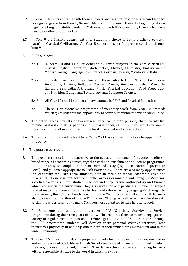- 2.2 In Year 8 students continue with these subjects and in addition choose a second Modern Foreign Language from French, German, Mandarin or Spanish. From the beginning of Year 8 girls are taught in ability bands for Mathematics, with the opportunity to move from one band to another as appropriate.
- 2.3 In Year 9 the Classics department offer students a choice of Latin, Gratin (Greek with Latin) or Classical Civilisation. All Year 8 subjects except Computing continue through Year 9.
- 2.4 GCSE Subjects:
	- 2.4.1 In Years 10 and 11 all students study seven subjects in the core curriculum: English, English Literature, Mathematics, Physics, Chemistry, Biology and a Modern Foreign Language from French, German, Spanish, Mandarin or Italian.
	- 2.4.2 Students then have a free choice of three subjects from Classical Civilisation, Geography, History, Religious Studies, French, German, Spanish, Mandarin, Italian, Greek, Latin, Art, Drama, Music, Physical Education, Food Preparation and Nutrition, Design and Technology, and Computer Science.
	- 2.4.3 All Year 10 and 11 students follow courses in PSHE and Physical Education.
	- 2.4.4 There is an extensive programme of voluntary work from Year 10 upwards which gives students the opportunity to contribute within the wider community.
- 2.5 The school week consists of twenty-nine fifty-five minute periods, three twenty-five minute 'pastoral and skills' periods and two assemblies, all fully supervised. Each area of the curriculum is allowed sufficient time for its contribution to be effective.
- 2.6 Time allocations for each subject from Years 7 11 are shown in the table in Appendix 1 to this policy.

# **3 The post 16 curriculum**

- 3.1 The post 16 curriculum is responsive to the needs and demands of students; it offers a broad range of academic courses, together with: an enrichment and lecture programme; the opportunity to complete either an extended essay (IB) or an extended project (A Level); and guidance appropriate to Sixth Form study. There are also many opportunities for leadership for Sixth Form students, both in terms of school leadership roles and through the form assistant scheme. Sixth Formers organise a wide range of Academic societies covering subjects studied in school and subjects like Anthropology and Biomed which are not in the curriculum. They also write for and produce a number of subject related magazines. Senior students also lead and interact with younger girls through the Creative Arts; the LVI assist with direction of the Year 7 play annually and Sixth Formers also take on the direction of House Drama and Singing as well as whole school events. Within the wider community many Sixth Formers volunteer to help in local schools.
- 3.2 All IB students are required to undertake a CAS (Creativity, Activity and Service) programme during their two years of study. This requires them to become engaged in a variety of regular commitments and activities, guided by the CAS Coordinator. Through the CAS programme students will develop their personal creative interests, keep themselves physically fit and help others both in their immediate environment and in the wider community.
- 3.3 The post 16 curriculum helps to prepare students for the opportunities, responsibilities and experiences of adult life in British Society and indeed in any environment in which they may choose to live and/or work. They leave school as confident lifelong learners with a responsible attitude to the world in which they live.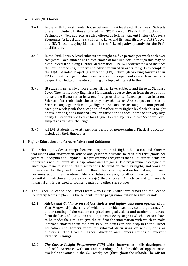# 3.4 A level/IB Choices:

- 3.4.1 In the Sixth Form students choose between the A level and IB pathway. Subjects offered include all those offered at GCSE except Physical Education and Technology. New subjects are also offered as follows: Ancient History (A Level), Economics (A Level and IB), Politics (A Level and IB), and History of Art (A Level and IB). Those studying Mandarin in the A Level pathway study for the PreU qualification.
- 3.4.2 In the Sixth Form A Level subjects are taught on five periods per week each over two years. Each student has a free choice of four subjects (although this may be five subjects if studying Further Mathematics). The LVI programme also includes the level of teaching, support and advice required in order for girls to complete the AQA Extended Project Qualification (EPQ). Through working towards their EPQ students will gain valuable experience in independent research as well as a deeper knowledge and understanding of a topic of interest to them.
- 3.4.3 IB students generally choose three Higher Level subjects and three at Standard Level. They must study English, a Mathematics course chosen from three options, at least one Humanity, at least one foreign or classical Language and at least one Science. For their sixth choice they may choose an Arts subject or a second Science, Language or Humanity. Higher Level subjects are taught on four periods each per week (with the exception of Mathematics Higher level which is taught on five periods) and Standard Level on three periods each. Some of our very high ability IB students opt to take four Higher Level subjects and two Standard Level subjects as an extra challenge.
- 3.4.4 All LVI students have at least one period of non-examined Physical Education included in their timetables.

# **4 Higher Education and Careers Advice and Guidance**

- 4.1 The school provides a comprehensive programme of Higher Education and Careers workshops and information, advice and guidance sessions to each girl throughout her years at Godolphin and Latymer. This programme recognises that all of our students are individuals with different skills, aspirations and life goals. The programme is designed to encourage them to identify their aspirations, to build on their strengths, and work on those areas that they could develop further. This is in preparation for making informed decisions about their academic life and future careers, to allow them to fulfil their potential in whichever professional area(s) they choose. All advice and guidance is impartial and is designed to counter gender and other stereotypes.
- 4.2 The Higher Education and Careers team works closely with form tutors and the Section leadership teams in planning the schedule for the programme, which has two strands:
	- 4.2.1 *Advice and Guidance on subject choices and higher education options* (from Year 9 upwards), the core of which is individualised advice and guidance. An understanding of the student's aspirations, goals, skills and academic interests form the basis of discussion about options at every stage at which decisions have to be made; the aim is to give the student the information with which to make informed choices about the next step. Students can also drop-in to the Higher Education and Careers room for informal discussions or with queries or questions. The Head of Higher Education and Careers attends all relevant Parents' Evenings.
	- 4.2.2 *The Career Insight Programme (CIP)* which interweaves skills development and self-awareness with an understanding of the breadth of opportunities available to women in the C21 workplace (throughout the school). The CIP for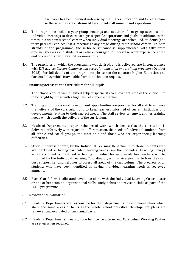each year has been devised in-house by the Higher Education and Careers team, so the activities are customised for students' attainment and aspirations.

- 4.3 The programme includes year group meetings and activities, form group sessions, and individual meetings to discuss each girl's specific aspirations and goals. In addition to the times in a student's school career when individual meetings are scheduled, students (and their parents) can request a meeting at any stage during their school career. In both strands of the programme, the in-house guidance is supplemented with talks from external speakers and students are also encouraged to undertake work experience at the end of Year 11 after their GCSE examinations.
- 4.4 The principles on which the programme was devised, and is delivered, are in concordance with DfE advice: *Careers Guidance and access for education and training providers* (October 2018). For full details of the programme please see the separate Higher Education and Careers Policy which is available from the school on request.

## **5 Ensuring access to the Curriculum for all Pupils**

- 5.1 The school recruits well-qualified subject specialists to allow each area of the curriculum to be taught by those with a high level of subject expertise.
- 5.2 Training and professional development opportunities are provided for all staff to enhance the delivery of the curriculum and to keep teachers informed of current initiatives and developments relating to their subject areas. The staff review scheme identifies training needs which benefit the delivery of the curriculum.
- 5.3 Heads of Departments prepare schemes of work which ensure that the curriculum is delivered effectively with regard to differentiation, the needs of individual students from all ethnic and social groups, the most able and those who are experiencing learning difficulties.
- 5.4 Study support is offered, by the Individual Learning Department, to those students who are identified as having particular learning needs (see the Individual Learning Policy). When a student is identified as having individual learning needs her teachers will be informed by the Individual Learning Co-ordinator, with advice given as to how they can best support her and help her to access all areas of the curriculum. The progress of all students who have been identified as having individual learning needs is reviewed annually.
- 5.5 Each Year 7 form is allocated several sessions with the Individual Learning Co-ordinator or one of her team on organisational skills, study habits and revision skills as part of the PSHE programme.

#### **6 Review and Evaluation**

- 6.1 Heads of Departments are responsible for their departmental development plans which share the same areas of focus as the whole school priorities. Development plans are reviewed and evaluated on an annual basis.
- 6.2 Heads of Departments' meetings are held twice a term and Curriculum Working Parties are set up when required.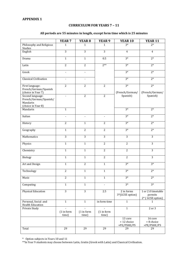# **CURRICULUM FOR YEARS 7 – 11**

## **All periods are 55 minutes in length, except form time which is 25 minutes**

|                                                                              | YEAR <sub>7</sub>        | YEAR <sub>8</sub>   | YEAR <sub>9</sub>   | <b>YEAR 10</b>                        | <b>YEAR 11</b>                                     |
|------------------------------------------------------------------------------|--------------------------|---------------------|---------------------|---------------------------------------|----------------------------------------------------|
| Philosophy and Religious<br>Studies                                          | 1                        | 1                   | 1                   | $3*$                                  | $2*$                                               |
| English                                                                      | $\overline{3}$           | $\overline{3}$      | $\overline{3}$      | $\overline{4}$                        | $\overline{4}$                                     |
| Drama                                                                        | $\mathbf{1}$             | $\overline{1}$      | 0.5                 | $3*$                                  | $2*$                                               |
| Latin                                                                        | $\overline{2}$           | $\overline{2}$      | $2**$               | $3*$                                  | $2*$                                               |
| Greek                                                                        | $\blacksquare$           | $\blacksquare$      |                     | $3*$                                  | $2*$                                               |
| <b>Classical Civilisation</b>                                                | $\Box$                   | $\blacksquare$      |                     | $3*$                                  | $2*$                                               |
| First language:<br>French/German/Spanish<br>(choice in Year 7)               | $\overline{2}$           | $\overline{c}$      | $\overline{2}$      | $3*$<br>(French/German/               | $\overline{2^*}$<br>(French/German/                |
| Second language:<br>French/German/Spanish/<br>Mandarin<br>(choice in Year 8) | $\blacksquare$           | $\overline{2}$      | $\overline{2}$      | Spanish)                              | Spanish)                                           |
| Mandarin                                                                     | $\overline{1}$           |                     |                     | $3*$                                  | $2*$                                               |
| Italian                                                                      | $\overline{\phantom{a}}$ | $\blacksquare$      | $\blacksquare$      | $3*$                                  | $\overline{2^*}$                                   |
| History                                                                      | $\overline{2}$           | $\mathbf{1}$        | $\overline{2}$      | $3*$                                  | $2*$                                               |
| Geography                                                                    | $\mathbf{1}$             | $\overline{2}$      | $\overline{2}$      | $3*$                                  | $2*$                                               |
| Mathematics                                                                  | $\overline{3}$           | $\overline{3}$      | $\overline{3}$      | $\overline{3}$                        | $\overline{3}$                                     |
| Physics                                                                      | $\overline{1}$           | $\overline{1}$      | $\overline{2}$      | $\overline{2}$                        | $\overline{3}$                                     |
| Chemistry                                                                    | $\overline{1}$           | $\overline{1}$      | $\overline{2}$      | $\overline{2}$                        | $\overline{3}$                                     |
| Biology                                                                      | $\mathbf{1}$             | $\mathbf{1}$        | $\overline{2}$      | $\overline{2}$                        | 3                                                  |
| Art and Design                                                               | $\mathbf{1}$             | $\overline{c}$      | $\mathbf{1}$        | $3*$                                  | $3*$                                               |
| Technology                                                                   | $\overline{2}$           | $\mathbf{1}$        | $\mathbf{1}$        | $3*$                                  | $\overline{2^*}$                                   |
| Music                                                                        | $\overline{2}$           | $\mathbf{1}$        | $\mathbf{1}$        | $3*$                                  | $2*$                                               |
| Computing                                                                    | $\mathbf{1}$             | $\mathbf{1}$        | $\blacksquare$      | $3*$                                  | $3*$                                               |
| <b>Physical Education</b>                                                    | $\overline{3}$           | $\overline{3}$      | 2.5                 | 2 in forms<br>3*(GCSE option)         | 1 or 2 if timetable<br>permits<br>2* (GCSE option) |
| Personal, Social and<br><b>Health Education</b>                              | $\mathbf{1}$             | $\mathbf{1}$        | in form time        | $\mathbf{1}$                          | $\mathbf{1}$                                       |
| Private Study                                                                | (1 in form<br>time)      | (1 in form<br>time) | (1 in form<br>time) | $\mathbf{1}$                          | 2 or 3                                             |
|                                                                              |                          |                     |                     | 13 core<br>+ 12 choice<br>+PE/PSHE/PS | 16 core<br>+ 8 choice<br>+PE/PSHE/PS               |
| Total                                                                        | 29                       | 29                  | 29                  | 29                                    | 29                                                 |

\* Option subjects in Years 10 and 11

\*\*In Year 9 students may choose between Latin, Gratin (Greek with Latin) and Classical Civilisation.